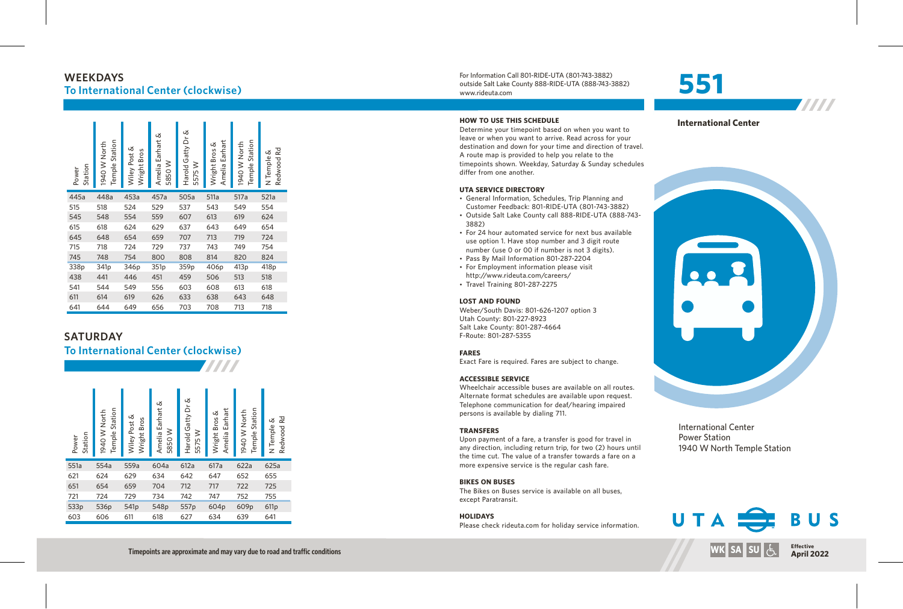# **W E E K D AY S To International Center (clockwise)**

| Station<br>Power | Station<br>1940 W North<br>Temple | Wiley Post &<br>Wright Bros | Amelia Earhart &<br>≥<br>5850 | ൾ<br>Harold Gatty Dr<br>5575 W | Earhart<br>Wright Bros &<br>Amelia | Station<br>1940 W North<br>Temple | Rd<br>య<br>N Temple<br>Redwood |
|------------------|-----------------------------------|-----------------------------|-------------------------------|--------------------------------|------------------------------------|-----------------------------------|--------------------------------|
| 445a             | 448a                              | 453a                        | 457a                          | 505a                           | 511a                               | 517a                              | 521a                           |
| 515              | 518                               | 524                         | 529                           | 537                            | 543                                | 549                               | 554                            |
| 545              | 548                               | 554                         | 559                           | 607                            | 613                                | 619                               | 624                            |
| 615              | 618                               | 624                         | 629                           | 637                            | 643                                | 649                               | 654                            |
| 645              | 648                               | 654                         | 659                           | 707                            | 713                                | 719                               | 724                            |
| 715              | 718                               | 724                         | 729                           | 737                            | 743                                | 749                               | 754                            |
| 745              | 748                               | 754                         | 800                           | 808                            | 814                                | 820                               | 824                            |
| 338p             | 341p                              | 346p                        | 351p                          | 359p                           | 406p                               | 413 <sub>p</sub>                  | 418 <sub>p</sub>               |
| 438              | 441                               | 446                         | 451                           | 459                            | 506                                | 513                               | 518                            |
| 541              | 544                               | 549                         | 556                           | 603                            | 608                                | 613                               | 618                            |
| 611              | 614                               | 619                         | 626                           | 633                            | 638                                | 643                               | 648                            |
| 641              | 644                               | 649                         | 656                           | 703                            | 708                                | 713                               | 718                            |

## SATURDAY

# **To International Center (clockwise)**

For Information Call 801-RIDE-UTA (801-743-3882) outside Salt Lake County 888-RIDE-UTA (888-743-3882) www.rideuta. com

#### **HOW TO USE THIS SCHEDULE**

Determine your timepoint based on when you want leave or when you want to arrive. Read across for your destination and down for your time and direction of travel. A route map is provided to help you relate to the timepoints shown. Weekday, Saturday & Sunday schedules differ from one another.

#### **UTA SERVICE DIRECTO RY**

- General Information, Schedules, Trip Planning and Customer Feedback: 801-RIDE-UTA (801-743-3882)
- · Outside Salt Lake County call 888-RIDE-UTA (888-743-3 8 8 2 )
- For 24 hour automated service for next bus available use option 1. Have stop number and 3 digit route number (use 0 or 00 if number is not 3 digits).
- Pass By Mail Information 801-287-2204
- For Employment information please visit http://www.rideuta.com/careers/
- $\cdot$  Travel Training 801-287-2275

#### **LOST AND FOUND**

Weber/South Davis: 801-626-1207 option 3 Utah County: 801-227-8923 Salt Lake County: 801-287-4664 F-Route: 801-287-5355

#### **FARES**

Exact Fare is required. Fares are subject to change.

#### **ACCESSIBLE SERVICE**

#### **BIKES ON BUSES**

#### **HOLIDAYS**

# **5 5 1**



7777



International Center Power Station 1940 W North Temple Station



Timepoints are approximate and may vary due to road and traffic conditions

**TITTI**